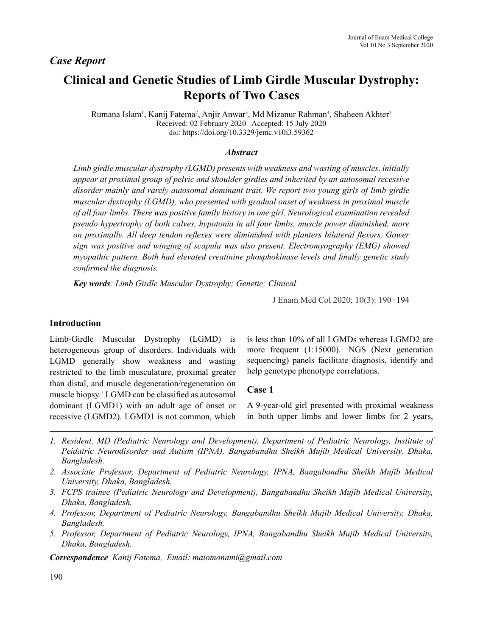# *Case Report*

# **Clinical and Genetic Studies of Limb Girdle Muscular Dystrophy: Reports of Two Cases**

Rumana Islam<sup>1</sup>, Kanij Fatema<sup>2</sup>, Anjir Anwar<sup>3</sup>, Md Mizanur Rahman<sup>4</sup>, Shaheen Akhter<sup>5</sup> Received: 02 February 2020 Accepted: 15 July 2020 doi: https://doi.org/10.3329/jemc.v10i3.59362

#### *Abstract*

*Limb girdle muscular dystrophy (LGMD) presents with weakness and wasting of muscles, initially appear at proximal group of pelvic and shoulder girdles and inherited by an autosomal recessive disorder mainly and rarely autosomal dominant trait. We report two young girls of limb girdle muscular dystrophy (LGMD), who presented with gradual onset of weakness in proximal muscle of all four limbs. There was positive family history in one girl. Neurological examination revealed pseudo hypertrophy of both calves, hypotonia in all four limbs, muscle power diminished, more on proximally. All deep tendon reflexes were diminished with planters bilateral flexors. Gower sign was positive and winging of scapula was also present. Electromyography (EMG) showed myopathic pattern. Both had elevated creatinine phosphokinase levels and finally genetic study confirmed the diagnosis.*

*Key words: Limb Girdle Muscular Dystrophy; Genetic; Clinical*

J Enam Med Col 2020; 10(3): 190−194

## **Introduction**

Limb-Girdle Muscular Dystrophy (LGMD) is heterogeneous group of disorders. Individuals with LGMD generally show weakness and wasting restricted to the limb musculature, proximal greater than distal, and muscle degeneration/regeneration on muscle biopsy.1 LGMD can be classified as autosomal dominant (LGMD1) with an adult age of onset or recessive (LGMD2). LGMD1 is not common, which

is less than 10% of all LGMDs whereas LGMD2 are more frequent (1:15000).<sup>1</sup> NGS (Next generation sequencing) panels facilitate diagnosis, identify and help genotype phenotype correlations.

## **Case 1**

A 9-year-old girl presented with proximal weakness in both upper limbs and lower limbs for 2 years,

- *1. Resident, MD (Pediatric Neurology and Development), Department of Pediatric Neurology, Institute of Peidatric Neurodisorder and Autism (IPNA), Bangabandhu Sheikh Mujib Medical University, Dhaka, Bangladesh.*
- *2. Associate Professor, Department of Pediatric Neurology, IPNA, Bangabandhu Sheikh Mujib Medical University, Dhaka, Bangladesh.*
- *3. FCPS trainee (Pediatric Neurology and Development), Bangabandhu Sheikh Mujib Medical University, Dhaka, Bangladesh.*
- *4. Professor, Department of Pediatric Neurology, Bangabandhu Sheikh Mujib Medical University, Dhaka, Bangladesh.*
- *5. Professor, Department of Pediatric Neurology, IPNA, Bangabandhu Sheikh Mujib Medical University, Dhaka, Bangladesh.*

*Correspondence Kanij Fatema, Email: maiomonami@gmail.com*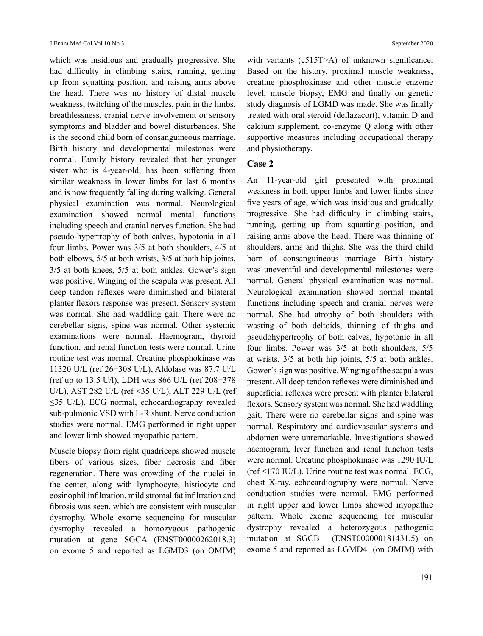which was insidious and gradually progressive. She had difficulty in climbing stairs, running, getting up from squatting position, and raising arms above the head. There was no history of distal muscle weakness, twitching of the muscles, pain in the limbs, breathlessness, cranial nerve involvement or sensory symptoms and bladder and bowel disturbances. She is the second child born of consanguineous marriage. Birth history and developmental milestones were normal. Family history revealed that her younger sister who is 4-year-old, has been suffering from similar weakness in lower limbs for last 6 months and is now frequently falling during walking. General physical examination was normal. Neurological examination showed normal mental functions including speech and cranial nerves function. She had pseudo-hypertrophy of both calves, hypotonia in all four limbs. Power was 3/5 at both shoulders, 4/5 at both elbows, 5/5 at both wrists, 3/5 at both hip joints, 3/5 at both knees, 5/5 at both ankles. Gower's sign was positive. Winging of the scapula was present. All deep tendon reflexes were diminished and bilateral planter flexors response was present. Sensory system was normal. She had waddling gait. There were no cerebellar signs, spine was normal. Other systemic examinations were normal. Haemogram, thyroid function, and renal function tests were normal. Urine routine test was normal. Creatine phosphokinase was 11320 U/L (ref 26−308 U/L), Aldolase was 87.7 U/L (ref up to 13.5 U/l), LDH was 866 U/L (ref 208−378 U/L), AST 282 U/L (ref <35 U/L), ALT 229 U/L (ref  $\leq$ 35 U/L), ECG normal, echocardiography revealed sub-pulmonic VSD with L-R shunt. Nerve conduction studies were normal. EMG performed in right upper and lower limb showed myopathic pattern.

Muscle biopsy from right quadriceps showed muscle fibers of various sizes, fiber necrosis and fiber regeneration. There was crowding of the nuclei in the center, along with lymphocyte, histiocyte and eosinophil infiltration, mild stromal fat infiltration and fibrosis was seen, which are consistent with muscular dystrophy. Whole exome sequencing for muscular dystrophy revealed a homozygous pathogenic mutation at gene SGCA (ENST00000262018.3) on exome 5 and reported as LGMD3 (on OMIM) with variants (c515T>A) of unknown significance. Based on the history, proximal muscle weakness, creatine phosphokinase and other muscle enzyme level, muscle biopsy, EMG and finally on genetic study diagnosis of LGMD was made. She was finally treated with oral steroid (deflazacort), vitamin D and calcium supplement, co-enzyme Q along with other supportive measures including occupational therapy and physiotherapy.

## **Case 2**

An 11-year-old girl presented with proximal weakness in both upper limbs and lower limbs since five years of age, which was insidious and gradually progressive. She had difficulty in climbing stairs, running, getting up from squatting position, and raising arms above the head. There was thinning of shoulders, arms and thighs. She was the third child born of consanguineous marriage. Birth history was uneventful and developmental milestones were normal. General physical examination was normal. Neurological examination showed normal mental functions including speech and cranial nerves were normal. She had atrophy of both shoulders with wasting of both deltoids, thinning of thighs and pseudohypertrophy of both calves, hypotonic in all four limbs. Power was 3/5 at both shoulders, 5/5 at wrists, 3/5 at both hip joints, 5/5 at both ankles. Gower's sign was positive. Winging of the scapula was present. All deep tendon reflexes were diminished and superficial reflexes were present with planter bilateral flexors. Sensory system was normal. She had waddling gait. There were no cerebellar signs and spine was normal. Respiratory and cardiovascular systems and abdomen were unremarkable. Investigations showed haemogram, liver function and renal function tests were normal. Creatine phosphokinase was 1290 IU/L (ref <170 IU/L). Urine routine test was normal. ECG, chest X-ray, echocardiography were normal. Nerve conduction studies were normal. EMG performed in right upper and lower limbs showed myopathic pattern. Whole exome sequencing for muscular dystrophy revealed a heterozygous pathogenic mutation at SGCB (ENST000000181431.5) on exome 5 and reported as LGMD4 (on OMIM) with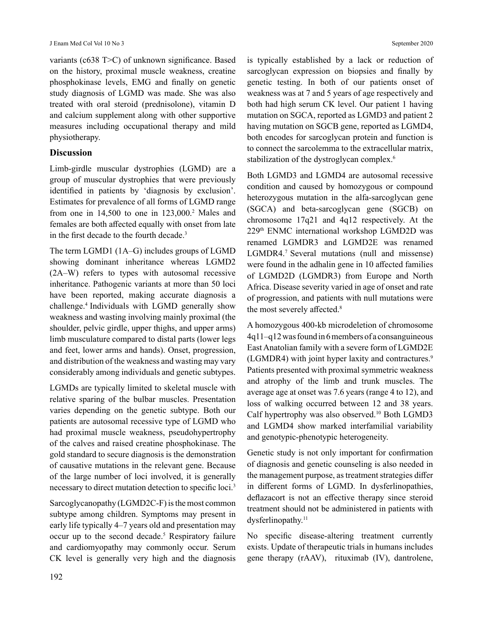variants (c638 T>C) of unknown significance. Based on the history, proximal muscle weakness, creatine phosphokinase levels, EMG and finally on genetic study diagnosis of LGMD was made. She was also treated with oral steroid (prednisolone), vitamin D and calcium supplement along with other supportive measures including occupational therapy and mild physiotherapy.

#### **Discussion**

Limb-girdle muscular dystrophies (LGMD) are a group of muscular dystrophies that were previously identified in patients by 'diagnosis by exclusion'. Estimates for prevalence of all forms of LGMD range from one in  $14,500$  to one in  $123,000$ .<sup>2</sup> Males and females are both affected equally with onset from late in the first decade to the fourth decade.<sup>3</sup>

The term LGMD1 (1A–G) includes groups of LGMD showing dominant inheritance whereas LGMD2 (2A–W) refers to types with autosomal recessive inheritance. Pathogenic variants at more than 50 loci have been reported, making accurate diagnosis a challenge.4 Individuals with LGMD generally show weakness and wasting involving mainly proximal (the shoulder, pelvic girdle, upper thighs, and upper arms) limb musculature compared to distal parts (lower legs and feet, lower arms and hands). Onset, progression, and distribution of the weakness and wasting may vary considerably among individuals and genetic subtypes.

LGMDs are typically limited to skeletal muscle with relative sparing of the bulbar muscles. Presentation varies depending on the genetic subtype. Both our patients are autosomal recessive type of LGMD who had proximal muscle weakness, pseudohypertrophy of the calves and raised creatine phosphokinase. The gold standard to secure diagnosis is the demonstration of causative mutations in the relevant gene. Because of the large number of loci involved, it is generally necessary to direct mutation detection to specific loci.<sup>3</sup>

Sarcoglycanopathy (LGMD2C-F) is the most common subtype among children. Symptoms may present in early life typically 4–7 years old and presentation may occur up to the second decade.<sup>5</sup> Respiratory failure and cardiomyopathy may commonly occur. Serum CK level is generally very high and the diagnosis

is typically established by a lack or reduction of sarcoglycan expression on biopsies and finally by genetic testing. In both of our patients onset of weakness was at 7 and 5 years of age respectively and both had high serum CK level. Our patient 1 having mutation on SGCA, reported as LGMD3 and patient 2 having mutation on SGCB gene, reported as LGMD4, both encodes for sarcoglycan protein and function is to connect the sarcolemma to the extracellular matrix, stabilization of the dystroglycan complex.<sup>6</sup>

Both LGMD3 and LGMD4 are autosomal recessive condition and caused by homozygous or compound heterozygous mutation in the alfa-sarcoglycan gene (SGCA) and beta-sarcoglycan gene (SGCB) on chromosome 17q21 and 4q12 respectively. At the 229th ENMC international workshop LGMD2D was renamed LGMDR3 and LGMD2E was renamed LGMDR4.<sup>7</sup> Several mutations (null and missense) were found in the adhalin gene in 10 affected families of LGMD2D (LGMDR3) from Europe and North Africa. Disease severity varied in age of onset and rate of progression, and patients with null mutations were the most severely affected.<sup>8</sup>

A homozygous 400-kb microdeletion of chromosome 4q11–q12 was found in 6 members of a consanguineous East Anatolian family with a severe form of LGMD2E (LGMDR4) with joint hyper laxity and contractures.<sup>9</sup> Patients presented with proximal symmetric weakness and atrophy of the limb and trunk muscles. The average age at onset was 7.6 years (range 4 to 12), and loss of walking occurred between 12 and 38 years. Calf hypertrophy was also observed.<sup>10</sup> Both LGMD3 and LGMD4 show marked interfamilial variability and genotypic-phenotypic heterogeneity.

Genetic study is not only important for confirmation of diagnosis and genetic counseling is also needed in the management purpose, as treatment strategies differ in different forms of LGMD. In dysferlinopathies, deflazacort is not an effective therapy since steroid treatment should not be administered in patients with dysferlinopathy.<sup>11</sup>

No specific disease-altering treatment currently exists. Update of therapeutic trials in humans includes gene therapy (rAAV), rituximab (IV), dantrolene,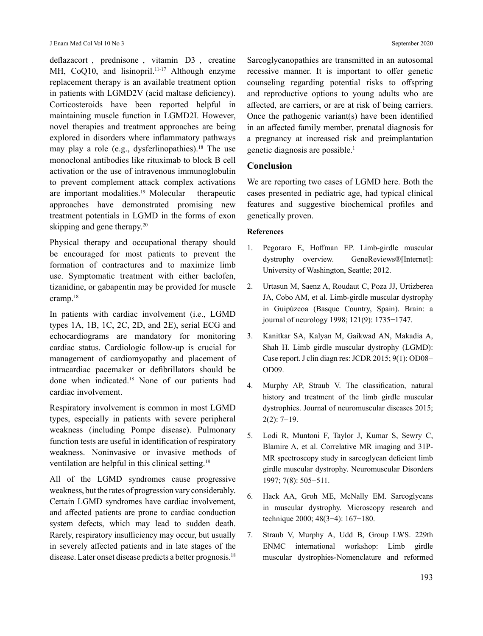deflazacort , prednisone , vitamin D3 , creatine MH, CoQ10, and lisinopril.<sup>11-17</sup> Although enzyme replacement therapy is an available treatment option in patients with LGMD2V (acid maltase deficiency). Corticosteroids have been reported helpful in maintaining muscle function in LGMD2I. However, novel therapies and treatment approaches are being explored in disorders where inflammatory pathways may play a role (e.g., dysferlinopathies). <sup>18</sup> The use monoclonal antibodies like rituximab to block B cell activation or the use of intravenous immunoglobulin to prevent complement attack complex activations are important modalities.<sup>19</sup> Molecular therapeutic approaches have demonstrated promising new treatment potentials in LGMD in the forms of exon skipping and gene therapy.<sup>20</sup>

Physical therapy and occupational therapy should be encouraged for most patients to prevent the formation of contractures and to maximize limb use. Symptomatic treatment with either baclofen, tizanidine, or gabapentin may be provided for muscle cramp.<sup>18</sup>

In patients with cardiac involvement (i.e., LGMD types 1A, 1B, 1C, 2C, 2D, and 2E), serial ECG and echocardiograms are mandatory for monitoring cardiac status. Cardiologic follow-up is crucial for management of cardiomyopathy and placement of intracardiac pacemaker or defibrillators should be done when indicated.<sup>18</sup> None of our patients had cardiac involvement.

Respiratory involvement is common in most LGMD types, especially in patients with severe peripheral weakness (including Pompe disease). Pulmonary function tests are useful in identification of respiratory weakness. Noninvasive or invasive methods of ventilation are helpful in this clinical setting.<sup>18</sup>

All of the LGMD syndromes cause progressive weakness, but the rates of progression vary considerably. Certain LGMD syndromes have cardiac involvement, and affected patients are prone to cardiac conduction system defects, which may lead to sudden death. Rarely, respiratory insufficiency may occur, but usually in severely affected patients and in late stages of the disease. Later onset disease predicts a better prognosis.<sup>18</sup> Sarcoglycanopathies are transmitted in an autosomal recessive manner. It is important to offer genetic counseling regarding potential risks to offspring and reproductive options to young adults who are affected, are carriers, or are at risk of being carriers. Once the pathogenic variant(s) have been identified in an affected family member, prenatal diagnosis for a pregnancy at increased risk and preimplantation genetic diagnosis are possible.<sup>1</sup>

## **Conclusion**

We are reporting two cases of LGMD here. Both the cases presented in pediatric age, had typical clinical features and suggestive biochemical profiles and genetically proven.

#### **References**

- 1. Pegoraro E, Hoffman EP. Limb-girdle muscular dystrophy overview. GeneReviews®[Internet]: University of Washington, Seattle; 2012.
- 2. Urtasun M, Saenz A, Roudaut C, Poza JJ, Urtizberea JA, Cobo AM, et al. Limb-girdle muscular dystrophy in Guipúzcoa (Basque Country, Spain). Brain: a journal of neurology 1998; 121(9): 1735−1747.
- 3. Kanitkar SA, Kalyan M, Gaikwad AN, Makadia A, Shah H. Limb girdle muscular dystrophy (LGMD): Case report. J clin diagn res: JCDR 2015; 9(1): OD08− OD09.
- 4. Murphy AP, Straub V. The classification, natural history and treatment of the limb girdle muscular dystrophies. Journal of neuromuscular diseases 2015; 2(2): 7−19.
- 5. Lodi R, Muntoni F, Taylor J, Kumar S, Sewry C, Blamire A, et al. Correlative MR imaging and 31P-MR spectroscopy study in sarcoglycan deficient limb girdle muscular dystrophy. Neuromuscular Disorders 1997; 7(8): 505−511.
- 6. Hack AA, Groh ME, McNally EM. Sarcoglycans in muscular dystrophy. Microscopy research and technique 2000; 48(3−4): 167−180.
- 7. Straub V, Murphy A, Udd B, Group LWS. 229th ENMC international workshop: Limb girdle muscular dystrophies-Nomenclature and reformed